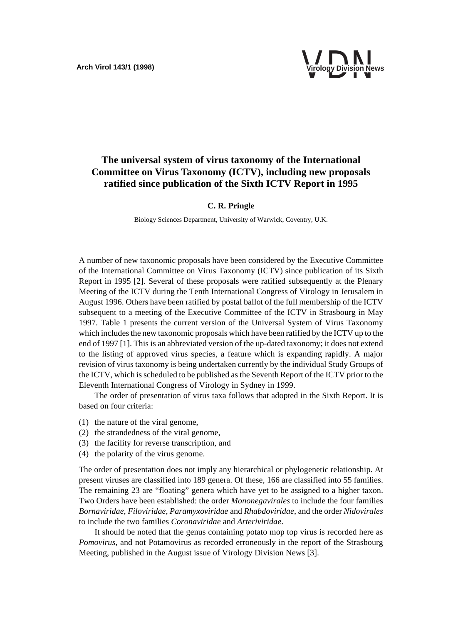

# **The universal system of virus taxonomy of the International Committee on Virus Taxonomy (ICTV), including new proposals ratified since publication of the Sixth ICTV Report in 1995**

#### **C. R. Pringle**

Biology Sciences Department, University of Warwick, Coventry, U.K.

A number of new taxonomic proposals have been considered by the Executive Committee of the International Committee on Virus Taxonomy (ICTV) since publication of its Sixth Report in 1995 [2]. Several of these proposals were ratified subsequently at the Plenary Meeting of the ICTV during the Tenth International Congress of Virology in Jerusalem in August 1996. Others have been ratified by postal ballot of the full membership of the ICTV subsequent to a meeting of the Executive Committee of the ICTV in Strasbourg in May 1997. Table 1 presents the current version of the Universal System of Virus Taxonomy which includes the new taxonomic proposals which have been ratified by the ICTV up to the end of 1997 [1]. This is an abbreviated version of the up-dated taxonomy; it does not extend to the listing of approved virus species, a feature which is expanding rapidly. A major revision of virus taxonomy is being undertaken currently by the individual Study Groups of the ICTV, which is scheduled to be published as the Seventh Report of the ICTV prior to the Eleventh International Congress of Virology in Sydney in 1999.

The order of presentation of virus taxa follows that adopted in the Sixth Report. It is based on four criteria:

- (1) the nature of the viral genome,
- (2) the strandedness of the viral genome,
- (3) the facility for reverse transcription, and
- (4) the polarity of the virus genome.

The order of presentation does not imply any hierarchical or phylogenetic relationship. At present viruses are classified into 189 genera. Of these, 166 are classified into 55 families. The remaining 23 are "floating" genera which have yet to be assigned to a higher taxon. Two Orders have been established: the order *Mononegavirales* to include the four families *Bornaviridae*, *Filoviridae*, *Paramyxoviridae* and *Rhabdoviridae*, and the order *Nidovirales* to include the two families *Coronaviridae* and *Arteriviridae*.

It should be noted that the genus containing potato mop top virus is recorded here as *Pomovirus*, and not Potamovirus as recorded erroneously in the report of the Strasbourg Meeting, published in the August issue of Virology Division News [3].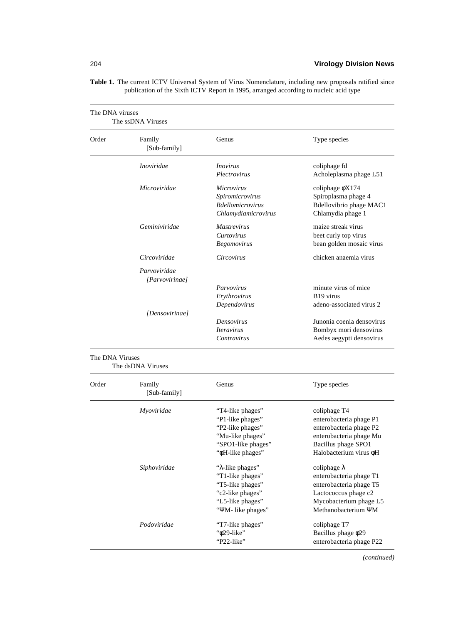| The DNA viruses | The ssDNA Viruses                                |                                                                                                                                    |                                                                                                                                                              |
|-----------------|--------------------------------------------------|------------------------------------------------------------------------------------------------------------------------------------|--------------------------------------------------------------------------------------------------------------------------------------------------------------|
| Order           | Family<br>[Sub-family]                           | Genus                                                                                                                              | Type species                                                                                                                                                 |
|                 | <i>Inoviridae</i>                                | <i>Inovirus</i><br>Plectrovirus                                                                                                    | coliphage fd<br>Acholeplasma phage L51                                                                                                                       |
|                 | Microviridae                                     | <i>Microvirus</i><br>Spiromicrovirus<br><b>Bdellomicrovirus</b><br>Chlamydiamicrovirus                                             | coliphage $\phi$ X174<br>Spiroplasma phage 4<br>Bdellovibrio phage MAC1<br>Chlamydia phage 1                                                                 |
|                 | Geminiviridae                                    | <i>Mastrevirus</i><br>Curtovirus<br><b>Begomovirus</b>                                                                             | maize streak virus<br>beet curly top virus<br>bean golden mosaic virus                                                                                       |
|                 | Circoviridae                                     | Circovirus                                                                                                                         | chicken anaemia virus                                                                                                                                        |
|                 | Parvoviridae<br>[Parvovirinae]<br>[Densovirinae] | Parvovirus<br>Erythrovirus<br>Dependovirus<br>Densovirus<br><i><u><b>Iteravirus</b></u></i><br>Contravirus                         | minute virus of mice<br>B <sub>19</sub> virus<br>adeno-associated virus 2<br>Junonia coenia densovirus<br>Bombyx mori densovirus<br>Aedes aegypti densovirus |
| The DNA Viruses | The dsDNA Viruses                                |                                                                                                                                    |                                                                                                                                                              |
| Order           | Family<br>[Sub-family]                           | Genus                                                                                                                              | Type species                                                                                                                                                 |
|                 | Myoviridae                                       | "T4-like phages"<br>"P1-like phages"<br>"P2-like phages"<br>"Mu-like phages"<br>"SPO1-like phages"<br>" <sup>oH-like</sup> phages" | coliphage T4<br>enterobacteria phage P1<br>enterobacteria phage P2<br>enterobacteria phage Mu<br>Bacillus phage SPO1<br>Halobacterium virus ¢H               |
|                 | Siphoviridae                                     | "λ-like phages"<br>"T1-like phages"<br>"T5-like phages"<br>"c2-like phages"<br>"L5-like phages"<br>"YM- like phages"               | coliphage $\lambda$<br>enterobacteria phage T1<br>enterobacteria phage T5<br>Lactococcus phage c2<br>Mycobacterium phage L5<br>Methanobacterium YM           |
|                 | Podoviridae                                      | "T7-like phages"<br>"ф29-like"<br>"P22-like"                                                                                       | coliphage T7<br>Bacillus phage $\phi$ 29<br>enterobacteria phage P22                                                                                         |

**Table 1.** The current ICTV Universal System of Virus Nomenclature, including new proposals ratified since publication of the Sixth ICTV Report in 1995, arranged according to nucleic acid type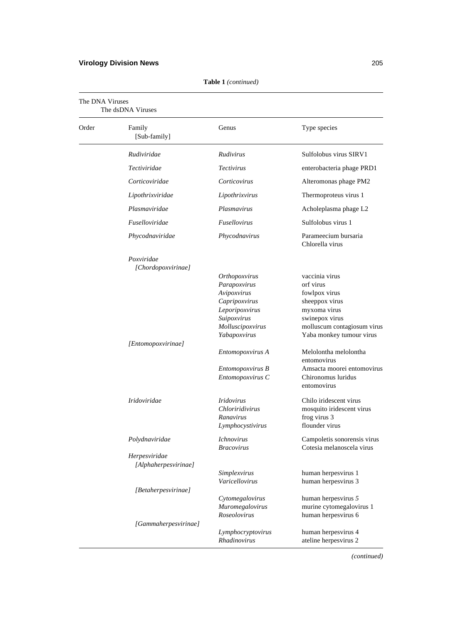## **Virology Division News** 205

| The DNA Viruses<br>The dsDNA Viruses |                                       |                                                                                                                                    |                                                                                                                                                             |
|--------------------------------------|---------------------------------------|------------------------------------------------------------------------------------------------------------------------------------|-------------------------------------------------------------------------------------------------------------------------------------------------------------|
| Order                                | Family<br>[Sub-family]                | Genus                                                                                                                              | Type species                                                                                                                                                |
|                                      | Rudiviridae                           | Rudivirus                                                                                                                          | Sulfolobus virus SIRV1                                                                                                                                      |
|                                      | Tectiviridae                          | <b>Tectivirus</b>                                                                                                                  | enterobacteria phage PRD1                                                                                                                                   |
|                                      | Corticoviridae                        | Corticovirus                                                                                                                       | Alteromonas phage PM2                                                                                                                                       |
|                                      | Lipothrixviridae                      | Lipothrixvirus                                                                                                                     | Thermoproteus virus 1                                                                                                                                       |
|                                      | Plasmaviridae                         | Plasmavirus                                                                                                                        | Acholeplasma phage L2                                                                                                                                       |
|                                      | Fuselloviridae                        | Fusellovirus                                                                                                                       | Sulfolobus virus 1                                                                                                                                          |
|                                      | Phycodnaviridae                       | Phycodnavirus                                                                                                                      | Parameecium bursaria<br>Chlorella virus                                                                                                                     |
|                                      | Poxviridae<br>[Chordopoxvirinae]      |                                                                                                                                    |                                                                                                                                                             |
|                                      |                                       | Orthopoxvirus<br>Parapoxvirus<br>Avipoxvirus<br>Capripoxvirus<br>Leporipoxvirus<br>Suipoxvirus<br>Molluscipoxvirus<br>Yabapoxvirus | vaccinia virus<br>orf virus<br>fowlpox virus<br>sheeppox virus<br>myxoma virus<br>swinepox virus<br>molluscum contagiosum virus<br>Yaba monkey tumour virus |
|                                      | [Entomopoxvirinae]                    | Entomopoxvirus A<br>Entomopoxvirus B<br>Entomopoxvirus C                                                                           | Melolontha melolontha<br>entomovirus<br>Amsacta moorei entomovirus<br>Chironomus luridus<br>entomovirus                                                     |
|                                      | Iridoviridae                          | <i>Iridovirus</i><br>Chloriridivirus<br>Ranavirus<br>Lymphocystivirus                                                              | Chilo iridescent virus<br>mosquito iridescent virus<br>frog virus 3<br>flounder virus                                                                       |
|                                      | Polydnaviridae                        | <i>Ichnovirus</i><br>Bracovirus                                                                                                    | Campoletis sonorensis virus<br>Cotesia melanoscela virus                                                                                                    |
|                                      | Herpesviridae<br>[Alphaherpesvirinae] | Simplexvirus                                                                                                                       | human herpesvirus 1                                                                                                                                         |
|                                      | [Betaherpesvirinae]                   | Varicellovirus<br>Cytomegalovirus<br>Muromegalovirus<br>Roseolovirus                                                               | human herpesvirus 3<br>human herpesvirus 5<br>murine cytomegalovirus 1<br>human herpesvirus 6                                                               |
|                                      | [Gammaherpesvirinae]                  | Lymphocryptovirus<br><b>Rhadinovirus</b>                                                                                           | human herpesvirus 4<br>ateline herpesvirus 2                                                                                                                |

**Table 1** *(continued)*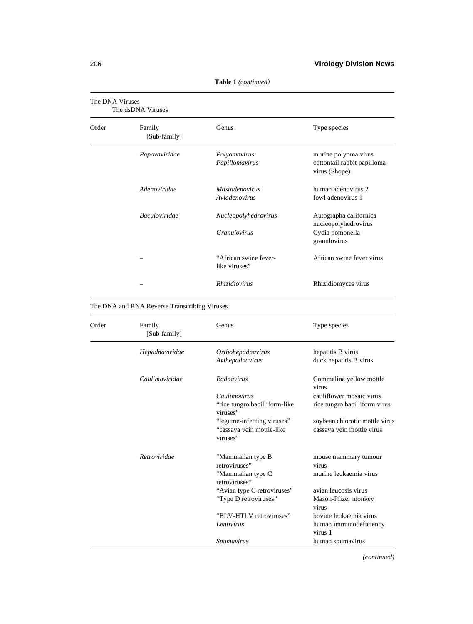| The DNA Viruses<br>The dsDNA Viruses |                        |                                             |                                                                                   |
|--------------------------------------|------------------------|---------------------------------------------|-----------------------------------------------------------------------------------|
| Order                                | Family<br>[Sub-family] | Genus                                       | Type species                                                                      |
|                                      | Papovaviridae          | Polyomavirus<br>Papillomavirus              | murine polyoma virus<br>cottontail rabbit papilloma-<br>virus (Shope)             |
|                                      | Adenoviridae           | <b>Mastadenovirus</b><br>Aviadenovirus      | human adenovirus 2<br>fowl adenovirus 1                                           |
|                                      | <b>Baculoviridae</b>   | Nucleopolyhedrovirus<br><i>Granulovirus</i> | Autographa californica<br>nucleopolyhedrovirus<br>Cydia pomonella<br>granulovirus |
|                                      |                        | "African swine fever-<br>like viruses"      | African swine fever virus                                                         |
|                                      |                        | Rhizidiovirus                               | Rhizidiomyces virus                                                               |

**Table 1** *(continued)*

The DNA and RNA Reverse Transcribing Viruses

| Order | Family<br>[Sub-family] | Genus                                     | Type species                      |
|-------|------------------------|-------------------------------------------|-----------------------------------|
|       | Hepadnaviridae         | Orthohepadnavirus                         | hepatitis B virus                 |
|       |                        | Avihepadnavirus                           | duck hepatitis B virus            |
|       | Caulimoviridae         | <b>Badnavirus</b>                         | Commelina yellow mottle<br>virus  |
|       |                        | Caulimovirus                              | cauliflower mosaic virus          |
|       |                        | "rice tungro bacilliform-like<br>viruses" | rice tungro bacilliform virus     |
|       |                        | "legume-infecting viruses"                | soybean chlorotic mottle virus    |
|       |                        | "cassava vein mottle-like<br>viruses"     | cassava vein mottle virus         |
|       | Retroviridae           | "Mammalian type B<br>retroviruses"        | mouse mammary tumour<br>virus     |
|       |                        | "Mammalian type C<br>retroviruses"        | murine leukaemia virus            |
|       |                        | "Avian type C retroviruses"               | avian leucosis virus              |
|       |                        | "Type D retroviruses"                     | Mason-Pfizer monkey<br>virus      |
|       |                        | "BLV-HTLV retroviruses"                   | bovine leukaemia virus            |
|       |                        | Lentivirus                                | human immunodeficiency<br>virus 1 |
|       |                        | Spumavirus                                | human spumavirus                  |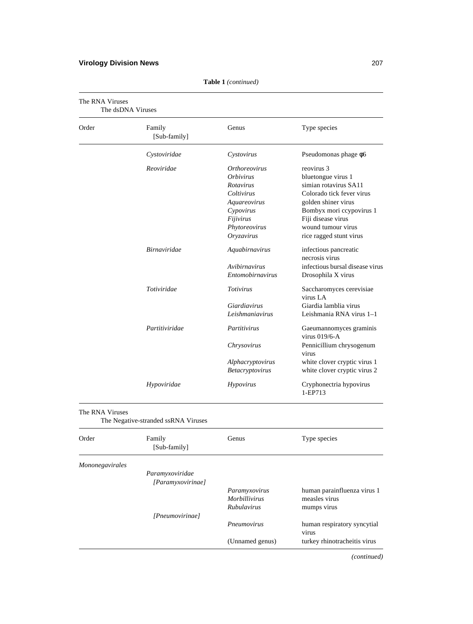## **Virology Division News** 207

| Order | Family<br>[Sub-family] | Genus                       | Type species                             |
|-------|------------------------|-----------------------------|------------------------------------------|
|       | Cystoviridae           | Cystovirus                  | Pseudomonas phage $\phi$ 6               |
|       | Reoviridae             | <i><b>Orthoreovirus</b></i> | reovirus 3                               |
|       |                        | <i><b>Orbivirus</b></i>     | bluetongue virus 1                       |
|       |                        | Rotavirus                   | simian rotavirus SA11                    |
|       |                        | Coltivirus                  | Colorado tick fever virus                |
|       |                        | Aquareovirus                | golden shiner virus                      |
|       |                        | Cypovirus                   | Bombyx mori ccypovirus 1                 |
|       |                        | Fijivirus                   | Fiji disease virus                       |
|       |                        | Phytoreovirus               | wound tumour virus                       |
|       |                        | Oryzavirus                  | rice ragged stunt virus                  |
|       | <b>Birnaviridae</b>    | Aquabirnavirus              | infectious pancreatic<br>necrosis virus  |
|       |                        | Avibirnavirus               | infectious bursal disease virus          |
|       |                        | Entomobirnavirus            | Drosophila X virus                       |
|       | Totiviridae            | <b>Totivirus</b>            | Saccharomyces cerevisiae<br>virus LA     |
|       |                        | Giardiavirus                | Giardia lamblia virus                    |
|       |                        | Leishmaniavirus             | Leishmania RNA virus 1-1                 |
|       | Partitiviridae         | Partitivirus                | Gaeumannomyces graminis<br>virus 019/6-A |
|       |                        | Chrysovirus                 | Pennicillium chrysogenum<br>virus        |
|       |                        | Alphacryptovirus            | white clover cryptic virus 1             |
|       |                        | Betacryptovirus             | white clover cryptic virus 2             |
|       | Hypoviridae            | Hypovirus                   | Cryphonectria hypovirus<br>1-EP713       |

**Table 1** *(continued)*

| Order           | Family<br>[Sub-family] | Genus                | Type species                         |
|-----------------|------------------------|----------------------|--------------------------------------|
| Mononegavirales |                        |                      |                                      |
|                 | Paramyxoviridae        |                      |                                      |
|                 | [Paramyxovirinae]      |                      |                                      |
|                 |                        | Paramyxovirus        | human parainfluenza virus 1          |
|                 |                        | <i>Morbillivirus</i> | measles virus                        |
|                 |                        | <i>Rubulavirus</i>   | mumps virus                          |
|                 | [Pneumovirinae]        |                      |                                      |
|                 |                        | Pneumovirus          | human respiratory syncytial<br>virus |
|                 |                        | (Unnamed genus)      | turkey rhinotracheitis virus         |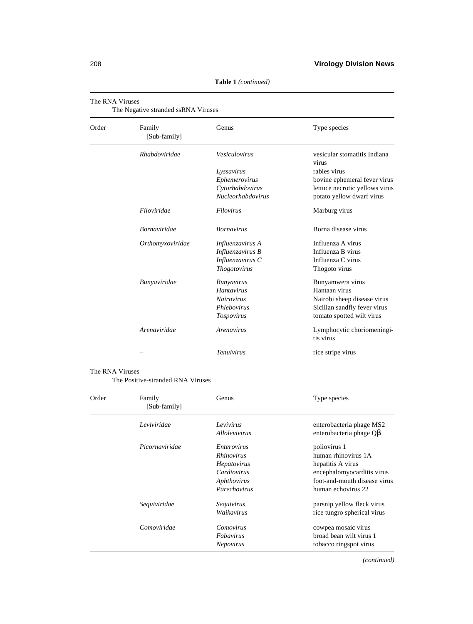| The RNA Viruses<br>The Negative stranded ssRNA Viruses |                        |                          |                                         |
|--------------------------------------------------------|------------------------|--------------------------|-----------------------------------------|
| Order                                                  | Family<br>[Sub-family] | Genus                    | Type species                            |
|                                                        | Rhabdoviridae          | Vesiculovirus            | vesicular stomatitis Indiana<br>virus   |
|                                                        |                        | Lyssavirus               | rabies virus                            |
|                                                        |                        | Ephemerovirus            | bovine ephemeral fever virus            |
|                                                        |                        | Cytorhabdovirus          | lettuce necrotic yellows virus          |
|                                                        |                        | <b>Nucleorhabdovirus</b> | potato yellow dwarf virus               |
|                                                        | Filoviridae            | Filovirus                | Marburg virus                           |
|                                                        | <b>Bornaviridae</b>    | <b>Bornavirus</b>        | Borna disease virus                     |
|                                                        | Orthomyxoviridae       | Influenzavirus A         | Influenza A virus                       |
|                                                        |                        | Influenzavirus B         | Influenza B virus                       |
|                                                        |                        | Influenzavirus C         | Influenza C virus                       |
|                                                        |                        | <b>Thogotovirus</b>      | Thogoto virus                           |
|                                                        | Bunyaviridae           | <b>Bunyavirus</b>        | Bunyamwera virus                        |
|                                                        |                        | <b>Hantavirus</b>        | Hantaan virus                           |
|                                                        |                        | <b>Nairovirus</b>        | Nairobi sheep disease virus             |
|                                                        |                        | Phlebovirus              | Sicilian sandfly fever virus            |
|                                                        |                        | Tospovirus               | tomato spotted wilt virus               |
|                                                        | Arenaviridae           | Arenavirus               | Lymphocytic choriomeningi-<br>tis virus |
|                                                        |                        | Tenuivirus               | rice stripe virus                       |

### The RNA Viruses

The Positive-stranded RNA Viruses

| Order | Family<br>[Sub-family] | Genus                | Type species                  |
|-------|------------------------|----------------------|-------------------------------|
|       | Leviviridae            | Levivirus            | enterobacteria phage MS2      |
|       |                        | <i>Allolevivirus</i> | enterobacteria phage $Q\beta$ |
|       | Picornaviridae         | <i>Enterovirus</i>   | poliovirus 1                  |
|       |                        | <i>Rhinovirus</i>    | human rhinovirus 1A           |
|       |                        | Hepatovirus          | hepatitis A virus             |
|       |                        | Cardiovirus          | encephalomyocarditis virus    |
|       |                        | Aphthovirus          | foot-and-mouth disease virus  |
|       |                        | Parechovirus         | human echovirus 22            |
|       | Sequiviridae           | Sequivirus           | parsnip yellow fleck virus    |
|       |                        | Waikavirus           | rice tungro spherical virus   |
|       | Comoviridae            | Comovirus            | cowpea mosaic virus           |
|       |                        | Fabavirus            | broad bean wilt virus 1       |
|       |                        | <b>Nepovirus</b>     | tobacco ringspot virus        |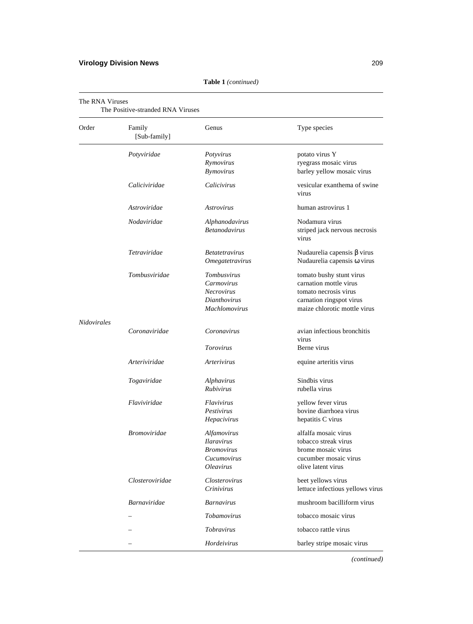| Order       | Family<br>[Sub-family] | Genus                                                                                    | Type species                                                                                                                            |
|-------------|------------------------|------------------------------------------------------------------------------------------|-----------------------------------------------------------------------------------------------------------------------------------------|
|             | Potyviridae            | Potyvirus<br>Rymovirus<br><b>Bymovirus</b>                                               | potato virus Y<br>ryegrass mosaic virus<br>barley yellow mosaic virus                                                                   |
|             | Caliciviridae          | Calicivirus                                                                              | vesicular exanthema of swine<br>virus                                                                                                   |
|             | Astroviridae           | <i>Astrovirus</i>                                                                        | human astrovirus 1                                                                                                                      |
|             | Nodaviridae            | Alphanodavirus<br><b>Betanodavirus</b>                                                   | Nodamura virus<br>striped jack nervous necrosis<br>virus                                                                                |
|             | Tetraviridae           | <i>Betatetravirus</i><br><i><b>Omegatetravirus</b></i>                                   | Nudaurelia capensis $\beta$ virus<br>Nudaurelia capensis @ virus                                                                        |
|             | Tombusviridae          | Tombusvirus<br>Carmovirus<br>Necrovirus<br><b>Dianthovirus</b><br><b>Machlomovirus</b>   | tomato bushy stunt virus<br>carnation mottle virus<br>tomato necrosis virus<br>carnation ringspot virus<br>maize chlorotic mottle virus |
| Nidovirales | Coronaviridae          | Coronavirus                                                                              | avian infectious bronchitis<br>virus                                                                                                    |
|             |                        | Torovirus                                                                                | Berne virus                                                                                                                             |
|             | Arteriviridae          | Arterivirus                                                                              | equine arteritis virus                                                                                                                  |
|             | Togaviridae            | Alphavirus<br><i>Rubivirus</i>                                                           | Sindbis virus<br>rubella virus                                                                                                          |
|             | Flaviviridae           | <i>Flavivirus</i><br>Pestivirus<br>Hepacivirus                                           | yellow fever virus<br>bovine diarrhoea virus<br>hepatitis C virus                                                                       |
|             | <b>Bromoviridae</b>    | Alfamovirus<br><b>Ilaravirus</b><br>Bromovirus<br>Cucumovirus<br><i><b>Oleavirus</b></i> | alfalfa mosaic virus<br>tobacco streak virus<br>brome mosaic virus<br>cucumber mosaic virus<br>olive latent virus                       |
|             | Closteroviridae        | Closterovirus<br>Crinivirus                                                              | beet yellows virus<br>lettuce infectious yellows virus                                                                                  |
|             | <b>Barnaviridae</b>    | <b>Barnavirus</b>                                                                        | mushroom bacilliform virus                                                                                                              |
|             |                        | Tobamovirus                                                                              | tobacco mosaic virus                                                                                                                    |
|             |                        | Tobravirus                                                                               | tobacco rattle virus                                                                                                                    |
|             |                        | Hordeivirus                                                                              | barley stripe mosaic virus                                                                                                              |

**Table 1** *(continued)*